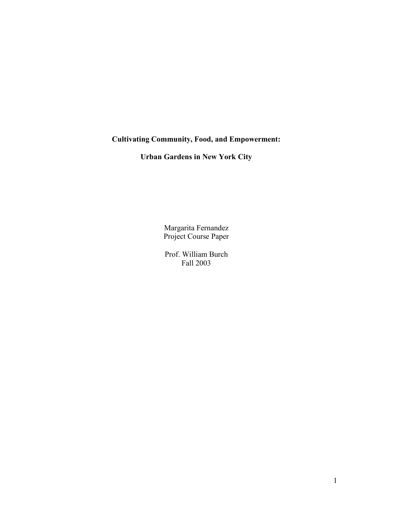# **Cultivating Community, Food, and Empowerment:**

**Urban Gardens in New York City**

Margarita Fernandez Project Course Paper

Prof. William Burch Fall 2003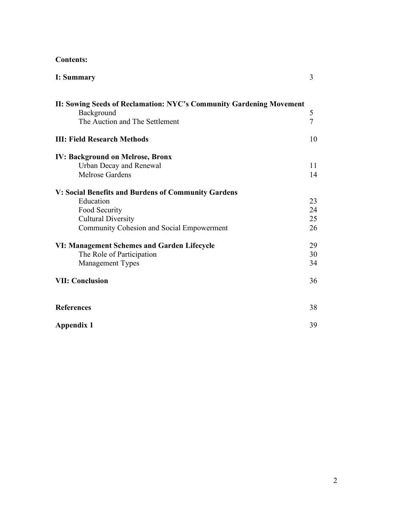## **Contents:**

| <b>I: Summary</b>                                                                                                                                           | $\overline{3}$       |
|-------------------------------------------------------------------------------------------------------------------------------------------------------------|----------------------|
| II: Sowing Seeds of Reclamation: NYC's Community Gardening Movement<br>Background<br>The Auction and The Settlement                                         | 5<br>$\overline{7}$  |
| <b>III: Field Research Methods</b>                                                                                                                          | 10                   |
| <b>IV: Background on Melrose, Bronx</b><br>Urban Decay and Renewal<br>Melrose Gardens                                                                       | 11<br>14             |
| V: Social Benefits and Burdens of Community Gardens<br>Education<br>Food Security<br><b>Cultural Diversity</b><br>Community Cohesion and Social Empowerment | 23<br>24<br>25<br>26 |
| VI: Management Schemes and Garden Lifecycle<br>The Role of Participation<br><b>Management Types</b>                                                         | 29<br>30<br>34       |
| <b>VII: Conclusion</b>                                                                                                                                      | 36                   |
| <b>References</b>                                                                                                                                           | 38                   |
| <b>Appendix 1</b>                                                                                                                                           | 39                   |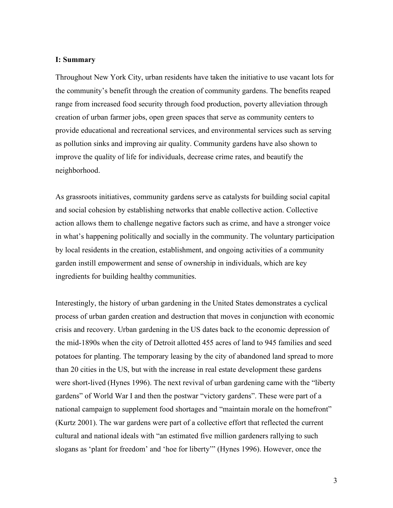#### **I: Summary**

Throughout New York City, urban residents have taken the initiative to use vacant lots for the community's benefit through the creation of community gardens. The benefits reaped range from increased food security through food production, poverty alleviation through creation of urban farmer jobs, open green spaces that serve as community centers to provide educational and recreational services, and environmental services such as serving as pollution sinks and improving air quality. Community gardens have also shown to improve the quality of life for individuals, decrease crime rates, and beautify the neighborhood.

As grassroots initiatives, community gardens serve as catalysts for building social capital and social cohesion by establishing networks that enable collective action. Collective action allows them to challenge negative factors such as crime, and have a stronger voice in what's happening politically and socially in the community. The voluntary participation by local residents in the creation, establishment, and ongoing activities of a community garden instill empowerment and sense of ownership in individuals, which are key ingredients for building healthy communities.

Interestingly, the history of urban gardening in the United States demonstrates a cyclical process of urban garden creation and destruction that moves in conjunction with economic crisis and recovery. Urban gardening in the US dates back to the economic depression of the mid-1890s when the city of Detroit allotted 455 acres of land to 945 families and seed potatoes for planting. The temporary leasing by the city of abandoned land spread to more than 20 cities in the US, but with the increase in real estate development these gardens were short-lived (Hynes 1996). The next revival of urban gardening came with the "liberty gardens" of World War I and then the postwar "victory gardens". These were part of a national campaign to supplement food shortages and "maintain morale on the homefront" (Kurtz 2001). The war gardens were part of a collective effort that reflected the current cultural and national ideals with "an estimated five million gardeners rallying to such slogans as 'plant for freedom' and 'hoe for liberty'" (Hynes 1996). However, once the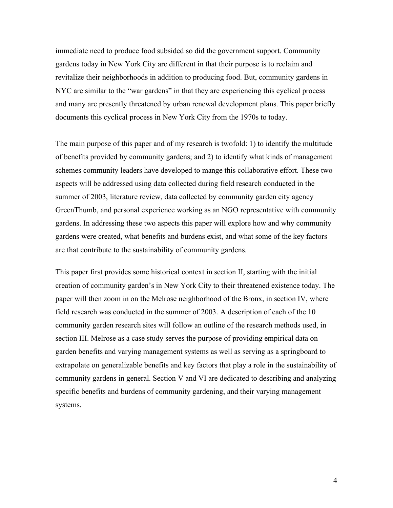immediate need to produce food subsided so did the government support. Community gardens today in New York City are different in that their purpose is to reclaim and revitalize their neighborhoods in addition to producing food. But, community gardens in NYC are similar to the "war gardens" in that they are experiencing this cyclical process and many are presently threatened by urban renewal development plans. This paper briefly documents this cyclical process in New York City from the 1970s to today.

The main purpose of this paper and of my research is twofold: 1) to identify the multitude of benefits provided by community gardens; and 2) to identify what kinds of management schemes community leaders have developed to mange this collaborative effort. These two aspects will be addressed using data collected during field research conducted in the summer of 2003, literature review, data collected by community garden city agency GreenThumb, and personal experience working as an NGO representative with community gardens. In addressing these two aspects this paper will explore how and why community gardens were created, what benefits and burdens exist, and what some of the key factors are that contribute to the sustainability of community gardens.

This paper first provides some historical context in section II, starting with the initial creation of community garden's in New York City to their threatened existence today. The paper will then zoom in on the Melrose neighborhood of the Bronx, in section IV, where field research was conducted in the summer of 2003. A description of each of the 10 community garden research sites will follow an outline of the research methods used, in section III. Melrose as a case study serves the purpose of providing empirical data on garden benefits and varying management systems as well as serving as a springboard to extrapolate on generalizable benefits and key factors that play a role in the sustainability of community gardens in general. Section V and VI are dedicated to describing and analyzing specific benefits and burdens of community gardening, and their varying management systems.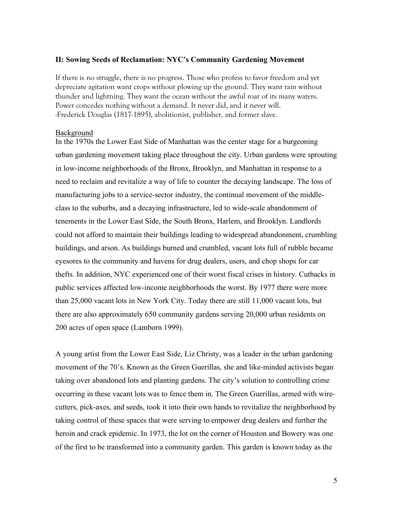#### **II: Sowing Seeds of Reclamation: NYC's Community Gardening Movement**

If there is no struggle, there is no progress. Those who profess to favor freedom and yet depreciate agitation want crops without plowing up the ground. They want rain without thunder and lightning. They want the ocean without the awful roar of its many waters. Power concedes nothing without a demand. It never did, and it never will. -Frederick Douglas (1817-1895), abolitionist, publisher, and former slave.

#### Background

In the 1970s the Lower East Side of Manhattan was the center stage for a burgeoning urban gardening movement taking place throughout the city. Urban gardens were sprouting in low-income neighborhoods of the Bronx, Brooklyn, and Manhattan in response to a need to reclaim and revitalize a way of life to counter the decaying landscape. The loss of manufacturing jobs to a service-sector industry, the continual movement of the middleclass to the suburbs, and a decaying infrastructure, led to wide-scale abandonment of tenements in the Lower East Side, the South Bronx, Harlem, and Brooklyn. Landlords could not afford to maintain their buildings leading to widespread abandonment, crumbling buildings, and arson. As buildings burned and crumbled, vacant lots full of rubble became eyesores to the community and havens for drug dealers, users, and chop shops for car thefts. In addition, NYC experienced one of their worst fiscal crises in history. Cutbacks in public services affected low-income neighborhoods the worst. By 1977 there were more than 25,000 vacant lots in New York City. Today there are still 11,000 vacant lots, but there are also approximately 650 community gardens serving 20,000 urban residents on 200 acres of open space (Lamborn 1999).

A young artist from the Lower East Side, Liz Christy, was a leader in the urban gardening movement of the 70's. Known as the Green Guerillas, she and like-minded activists began taking over abandoned lots and planting gardens. The city's solution to controlling crime occurring in these vacant lots was to fence them in. The Green Guerillas, armed with wirecutters, pick-axes, and seeds, took it into their own hands to revitalize the neighborhood by taking control of these spaces that were serving to empower drug dealers and further the heroin and crack epidemic. In 1973, the lot on the corner of Houston and Bowery was one of the first to be transformed into a community garden. This garden is known today as the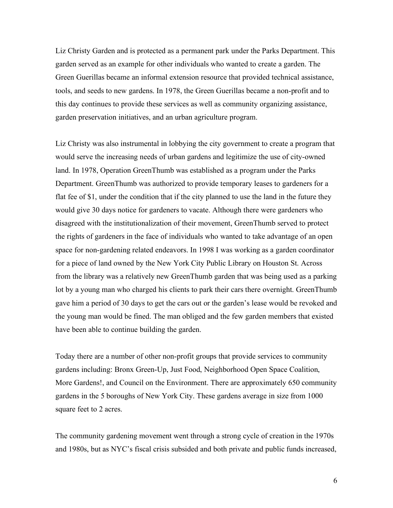Liz Christy Garden and is protected as a permanent park under the Parks Department. This garden served as an example for other individuals who wanted to create a garden. The Green Guerillas became an informal extension resource that provided technical assistance, tools, and seeds to new gardens. In 1978, the Green Guerillas became a non-profit and to this day continues to provide these services as well as community organizing assistance, garden preservation initiatives, and an urban agriculture program.

Liz Christy was also instrumental in lobbying the city government to create a program that would serve the increasing needs of urban gardens and legitimize the use of city-owned land. In 1978, Operation GreenThumb was established as a program under the Parks Department. GreenThumb was authorized to provide temporary leases to gardeners for a flat fee of \$1, under the condition that if the city planned to use the land in the future they would give 30 days notice for gardeners to vacate. Although there were gardeners who disagreed with the institutionalization of their movement, GreenThumb served to protect the rights of gardeners in the face of individuals who wanted to take advantage of an open space for non-gardening related endeavors. In 1998 I was working as a garden coordinator for a piece of land owned by the New York City Public Library on Houston St. Across from the library was a relatively new GreenThumb garden that was being used as a parking lot by a young man who charged his clients to park their cars there overnight. GreenThumb gave him a period of 30 days to get the cars out or the garden's lease would be revoked and the young man would be fined. The man obliged and the few garden members that existed have been able to continue building the garden.

Today there are a number of other non-profit groups that provide services to community gardens including: Bronx Green-Up, Just Food, Neighborhood Open Space Coalition, More Gardens!, and Council on the Environment. There are approximately 650 community gardens in the 5 boroughs of New York City. These gardens average in size from 1000 square feet to 2 acres.

The community gardening movement went through a strong cycle of creation in the 1970s and 1980s, but as NYC's fiscal crisis subsided and both private and public funds increased,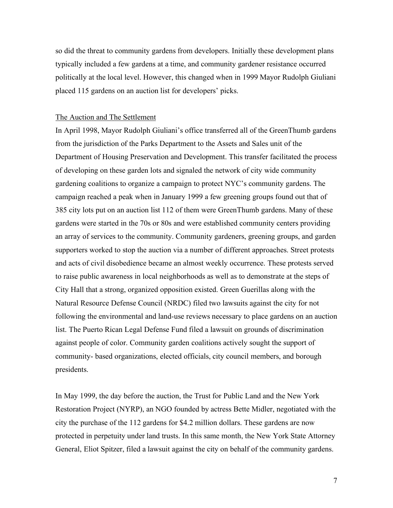so did the threat to community gardens from developers. Initially these development plans typically included a few gardens at a time, and community gardener resistance occurred politically at the local level. However, this changed when in 1999 Mayor Rudolph Giuliani placed 115 gardens on an auction list for developers' picks.

#### The Auction and The Settlement

In April 1998, Mayor Rudolph Giuliani's office transferred all of the GreenThumb gardens from the jurisdiction of the Parks Department to the Assets and Sales unit of the Department of Housing Preservation and Development. This transfer facilitated the process of developing on these garden lots and signaled the network of city wide community gardening coalitions to organize a campaign to protect NYC's community gardens. The campaign reached a peak when in January 1999 a few greening groups found out that of 385 city lots put on an auction list 112 of them were GreenThumb gardens. Many of these gardens were started in the 70s or 80s and were established community centers providing an array of services to the community. Community gardeners, greening groups, and garden supporters worked to stop the auction via a number of different approaches. Street protests and acts of civil disobedience became an almost weekly occurrence. These protests served to raise public awareness in local neighborhoods as well as to demonstrate at the steps of City Hall that a strong, organized opposition existed. Green Guerillas along with the Natural Resource Defense Council (NRDC) filed two lawsuits against the city for not following the environmental and land-use reviews necessary to place gardens on an auction list. The Puerto Rican Legal Defense Fund filed a lawsuit on grounds of discrimination against people of color. Community garden coalitions actively sought the support of community- based organizations, elected officials, city council members, and borough presidents.

In May 1999, the day before the auction, the Trust for Public Land and the New York Restoration Project (NYRP), an NGO founded by actress Bette Midler, negotiated with the city the purchase of the 112 gardens for \$4.2 million dollars. These gardens are now protected in perpetuity under land trusts. In this same month, the New York State Attorney General, Eliot Spitzer, filed a lawsuit against the city on behalf of the community gardens.

7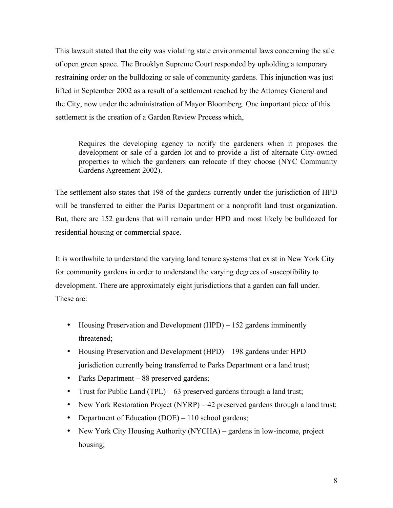This lawsuit stated that the city was violating state environmental laws concerning the sale of open green space. The Brooklyn Supreme Court responded by upholding a temporary restraining order on the bulldozing or sale of community gardens. This injunction was just lifted in September 2002 as a result of a settlement reached by the Attorney General and the City, now under the administration of Mayor Bloomberg. One important piece of this settlement is the creation of a Garden Review Process which,

Requires the developing agency to notify the gardeners when it proposes the development or sale of a garden lot and to provide a list of alternate City-owned properties to which the gardeners can relocate if they choose (NYC Community Gardens Agreement 2002).

The settlement also states that 198 of the gardens currently under the jurisdiction of HPD will be transferred to either the Parks Department or a nonprofit land trust organization. But, there are 152 gardens that will remain under HPD and most likely be bulldozed for residential housing or commercial space.

It is worthwhile to understand the varying land tenure systems that exist in New York City for community gardens in order to understand the varying degrees of susceptibility to development. There are approximately eight jurisdictions that a garden can fall under. These are:

- Housing Preservation and Development (HPD) 152 gardens imminently threatened;
- Housing Preservation and Development (HPD) 198 gardens under HPD jurisdiction currently being transferred to Parks Department or a land trust;
- Parks Department 88 preserved gardens;
- Trust for Public Land (TPL) 63 preserved gardens through a land trust;
- New York Restoration Project (NYRP) 42 preserved gardens through a land trust;
- Department of Education (DOE) 110 school gardens;
- New York City Housing Authority (NYCHA) gardens in low-income, project housing;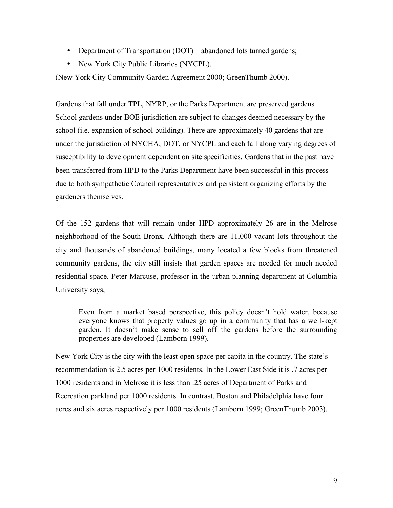- Department of Transportation (DOT) abandoned lots turned gardens;
- New York City Public Libraries (NYCPL).

(New York City Community Garden Agreement 2000; GreenThumb 2000).

Gardens that fall under TPL, NYRP, or the Parks Department are preserved gardens. School gardens under BOE jurisdiction are subject to changes deemed necessary by the school (i.e. expansion of school building). There are approximately 40 gardens that are under the jurisdiction of NYCHA, DOT, or NYCPL and each fall along varying degrees of susceptibility to development dependent on site specificities. Gardens that in the past have been transferred from HPD to the Parks Department have been successful in this process due to both sympathetic Council representatives and persistent organizing efforts by the gardeners themselves.

Of the 152 gardens that will remain under HPD approximately 26 are in the Melrose neighborhood of the South Bronx. Although there are 11,000 vacant lots throughout the city and thousands of abandoned buildings, many located a few blocks from threatened community gardens, the city still insists that garden spaces are needed for much needed residential space. Peter Marcuse, professor in the urban planning department at Columbia University says,

Even from a market based perspective, this policy doesn't hold water, because everyone knows that property values go up in a community that has a well-kept garden. It doesn't make sense to sell off the gardens before the surrounding properties are developed (Lamborn 1999).

New York City is the city with the least open space per capita in the country. The state's recommendation is 2.5 acres per 1000 residents. In the Lower East Side it is .7 acres per 1000 residents and in Melrose it is less than .25 acres of Department of Parks and Recreation parkland per 1000 residents. In contrast, Boston and Philadelphia have four acres and six acres respectively per 1000 residents (Lamborn 1999; GreenThumb 2003).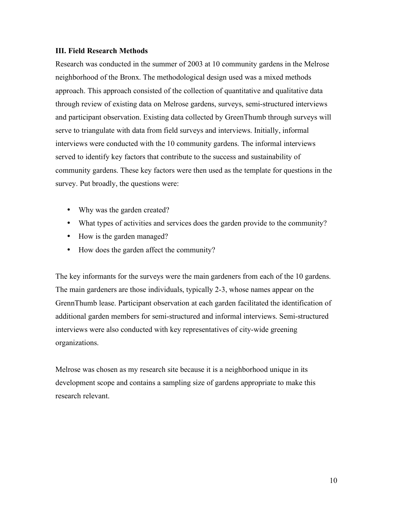### **III. Field Research Methods**

Research was conducted in the summer of 2003 at 10 community gardens in the Melrose neighborhood of the Bronx. The methodological design used was a mixed methods approach. This approach consisted of the collection of quantitative and qualitative data through review of existing data on Melrose gardens, surveys, semi-structured interviews and participant observation. Existing data collected by GreenThumb through surveys will serve to triangulate with data from field surveys and interviews. Initially, informal interviews were conducted with the 10 community gardens. The informal interviews served to identify key factors that contribute to the success and sustainability of community gardens. These key factors were then used as the template for questions in the survey. Put broadly, the questions were:

- Why was the garden created?
- What types of activities and services does the garden provide to the community?
- How is the garden managed?
- How does the garden affect the community?

The key informants for the surveys were the main gardeners from each of the 10 gardens. The main gardeners are those individuals, typically 2-3, whose names appear on the GrennThumb lease. Participant observation at each garden facilitated the identification of additional garden members for semi-structured and informal interviews. Semi-structured interviews were also conducted with key representatives of city-wide greening organizations.

Melrose was chosen as my research site because it is a neighborhood unique in its development scope and contains a sampling size of gardens appropriate to make this research relevant.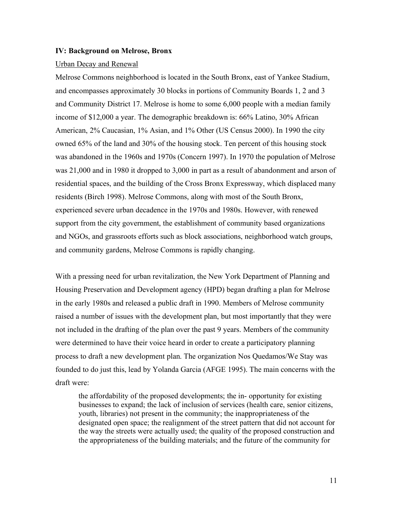#### **IV: Background on Melrose, Bronx**

#### Urban Decay and Renewal

Melrose Commons neighborhood is located in the South Bronx, east of Yankee Stadium, and encompasses approximately 30 blocks in portions of Community Boards 1, 2 and 3 and Community District 17. Melrose is home to some 6,000 people with a median family income of \$12,000 a year. The demographic breakdown is: 66% Latino, 30% African American, 2% Caucasian, 1% Asian, and 1% Other (US Census 2000). In 1990 the city owned 65% of the land and 30% of the housing stock. Ten percent of this housing stock was abandoned in the 1960s and 1970s (Concern 1997). In 1970 the population of Melrose was 21,000 and in 1980 it dropped to 3,000 in part as a result of abandonment and arson of residential spaces, and the building of the Cross Bronx Expressway, which displaced many residents (Birch 1998). Melrose Commons, along with most of the South Bronx, experienced severe urban decadence in the 1970s and 1980s. However, with renewed support from the city government, the establishment of community based organizations and NGOs, and grassroots efforts such as block associations, neighborhood watch groups, and community gardens, Melrose Commons is rapidly changing.

With a pressing need for urban revitalization, the New York Department of Planning and Housing Preservation and Development agency (HPD) began drafting a plan for Melrose in the early 1980s and released a public draft in 1990. Members of Melrose community raised a number of issues with the development plan, but most importantly that they were not included in the drafting of the plan over the past 9 years. Members of the community were determined to have their voice heard in order to create a participatory planning process to draft a new development plan. The organization Nos Quedamos/We Stay was founded to do just this, lead by Yolanda Garcia (AFGE 1995). The main concerns with the draft were:

the affordability of the proposed developments; the in- opportunity for existing businesses to expand; the lack of inclusion of services (health care, senior citizens, youth, libraries) not present in the community; the inappropriateness of the designated open space; the realignment of the street pattern that did not account for the way the streets were actually used; the quality of the proposed construction and the appropriateness of the building materials; and the future of the community for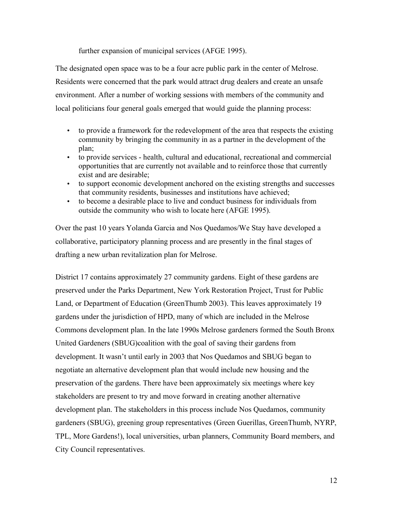further expansion of municipal services (AFGE 1995).

The designated open space was to be a four acre public park in the center of Melrose. Residents were concerned that the park would attract drug dealers and create an unsafe environment. After a number of working sessions with members of the community and local politicians four general goals emerged that would guide the planning process:

- to provide a framework for the redevelopment of the area that respects the existing community by bringing the community in as a partner in the development of the plan;
- to provide services health, cultural and educational, recreational and commercial opportunities that are currently not available and to reinforce those that currently exist and are desirable;
- to support economic development anchored on the existing strengths and successes that community residents, businesses and institutions have achieved;
- to become a desirable place to live and conduct business for individuals from outside the community who wish to locate here (AFGE 1995).

Over the past 10 years Yolanda Garcia and Nos Quedamos/We Stay have developed a collaborative, participatory planning process and are presently in the final stages of drafting a new urban revitalization plan for Melrose.

District 17 contains approximately 27 community gardens. Eight of these gardens are preserved under the Parks Department, New York Restoration Project, Trust for Public Land, or Department of Education (GreenThumb 2003). This leaves approximately 19 gardens under the jurisdiction of HPD, many of which are included in the Melrose Commons development plan. In the late 1990s Melrose gardeners formed the South Bronx United Gardeners (SBUG)coalition with the goal of saving their gardens from development. It wasn't until early in 2003 that Nos Quedamos and SBUG began to negotiate an alternative development plan that would include new housing and the preservation of the gardens. There have been approximately six meetings where key stakeholders are present to try and move forward in creating another alternative development plan. The stakeholders in this process include Nos Quedamos, community gardeners (SBUG), greening group representatives (Green Guerillas, GreenThumb, NYRP, TPL, More Gardens!), local universities, urban planners, Community Board members, and City Council representatives.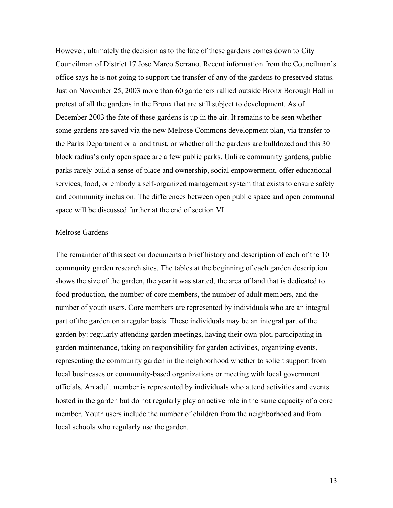However, ultimately the decision as to the fate of these gardens comes down to City Councilman of District 17 Jose Marco Serrano. Recent information from the Councilman's office says he is not going to support the transfer of any of the gardens to preserved status. Just on November 25, 2003 more than 60 gardeners rallied outside Bronx Borough Hall in protest of all the gardens in the Bronx that are still subject to development. As of December 2003 the fate of these gardens is up in the air. It remains to be seen whether some gardens are saved via the new Melrose Commons development plan, via transfer to the Parks Department or a land trust, or whether all the gardens are bulldozed and this 30 block radius's only open space are a few public parks. Unlike community gardens, public parks rarely build a sense of place and ownership, social empowerment, offer educational services, food, or embody a self-organized management system that exists to ensure safety and community inclusion. The differences between open public space and open communal space will be discussed further at the end of section VI.

#### Melrose Gardens

The remainder of this section documents a brief history and description of each of the 10 community garden research sites. The tables at the beginning of each garden description shows the size of the garden, the year it was started, the area of land that is dedicated to food production, the number of core members, the number of adult members, and the number of youth users. Core members are represented by individuals who are an integral part of the garden on a regular basis. These individuals may be an integral part of the garden by: regularly attending garden meetings, having their own plot, participating in garden maintenance, taking on responsibility for garden activities, organizing events, representing the community garden in the neighborhood whether to solicit support from local businesses or community-based organizations or meeting with local government officials. An adult member is represented by individuals who attend activities and events hosted in the garden but do not regularly play an active role in the same capacity of a core member. Youth users include the number of children from the neighborhood and from local schools who regularly use the garden.

13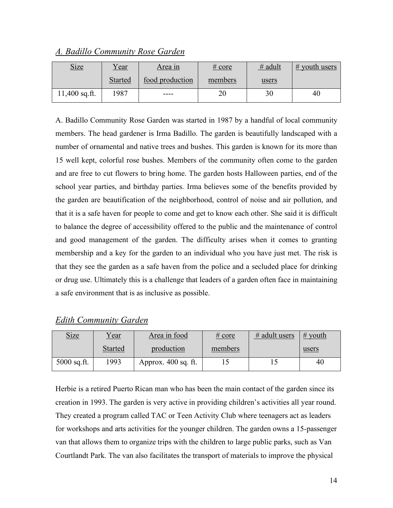| <b>Size</b>     | Year           | <u>Area in</u>  | $\frac{\text{\# core}}{\text{}}$ | $#$ adult | $#$ youth users |
|-----------------|----------------|-----------------|----------------------------------|-----------|-----------------|
|                 | <b>Started</b> | food production | members                          | users     |                 |
| $11,400$ sq.ft. | 1987           | ----            | 20                               | 30        | 40              |

*A. Badillo Community Rose Garden*

A. Badillo Community Rose Garden was started in 1987 by a handful of local community members. The head gardener is Irma Badillo. The garden is beautifully landscaped with a number of ornamental and native trees and bushes. This garden is known for its more than 15 well kept, colorful rose bushes. Members of the community often come to the garden and are free to cut flowers to bring home. The garden hosts Halloween parties, end of the school year parties, and birthday parties. Irma believes some of the benefits provided by the garden are beautification of the neighborhood, control of noise and air pollution, and that it is a safe haven for people to come and get to know each other. She said it is difficult to balance the degree of accessibility offered to the public and the maintenance of control and good management of the garden. The difficulty arises when it comes to granting membership and a key for the garden to an individual who you have just met. The risk is that they see the garden as a safe haven from the police and a secluded place for drinking or drug use. Ultimately this is a challenge that leaders of a garden often face in maintaining a safe environment that is as inclusive as possible.

| <b>Edith Community Garden</b> |
|-------------------------------|
|-------------------------------|

| <u>Size</u>   | Year           | Area in food        | $\frac{\text{\# core}}{\text{}}$ | $#$ adult users | $\#$ youth |
|---------------|----------------|---------------------|----------------------------------|-----------------|------------|
|               | <b>Started</b> | production          | members                          |                 | users      |
| $5000$ sq.ft. | 1993           | Approx. 400 sq. ft. |                                  |                 | 40         |

Herbie is a retired Puerto Rican man who has been the main contact of the garden since its creation in 1993. The garden is very active in providing children's activities all year round. They created a program called TAC or Teen Activity Club where teenagers act as leaders for workshops and arts activities for the younger children. The garden owns a 15-passenger van that allows them to organize trips with the children to large public parks, such as Van Courtlandt Park. The van also facilitates the transport of materials to improve the physical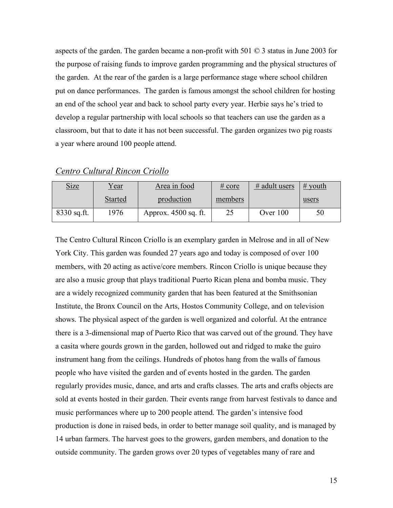aspects of the garden. The garden became a non-profit with 501 © 3 status in June 2003 for the purpose of raising funds to improve garden programming and the physical structures of the garden. At the rear of the garden is a large performance stage where school children put on dance performances. The garden is famous amongst the school children for hosting an end of the school year and back to school party every year. Herbie says he's tried to develop a regular partnership with local schools so that teachers can use the garden as a classroom, but that to date it has not been successful. The garden organizes two pig roasts a year where around 100 people attend.

| <b>Size</b>   | <u>Year</u>    | Area in food         | # core  | $#$ adult users | $#$ youth |
|---------------|----------------|----------------------|---------|-----------------|-----------|
|               | <b>Started</b> | production           | members |                 | users     |
| $8330$ sq.ft. | 1976           | Approx. 4500 sq. ft. | 25      | Over 100        | 50        |

*Centro Cultural Rincon Criollo*

The Centro Cultural Rincon Criollo is an exemplary garden in Melrose and in all of New York City. This garden was founded 27 years ago and today is composed of over 100 members, with 20 acting as active/core members. Rincon Criollo is unique because they are also a music group that plays traditional Puerto Rican plena and bomba music. They are a widely recognized community garden that has been featured at the Smithsonian Institute, the Bronx Council on the Arts, Hostos Community College, and on television shows. The physical aspect of the garden is well organized and colorful. At the entrance there is a 3-dimensional map of Puerto Rico that was carved out of the ground. They have a casita where gourds grown in the garden, hollowed out and ridged to make the guiro instrument hang from the ceilings. Hundreds of photos hang from the walls of famous people who have visited the garden and of events hosted in the garden. The garden regularly provides music, dance, and arts and crafts classes. The arts and crafts objects are sold at events hosted in their garden. Their events range from harvest festivals to dance and music performances where up to 200 people attend. The garden's intensive food production is done in raised beds, in order to better manage soil quality, and is managed by 14 urban farmers. The harvest goes to the growers, garden members, and donation to the outside community. The garden grows over 20 types of vegetables many of rare and

15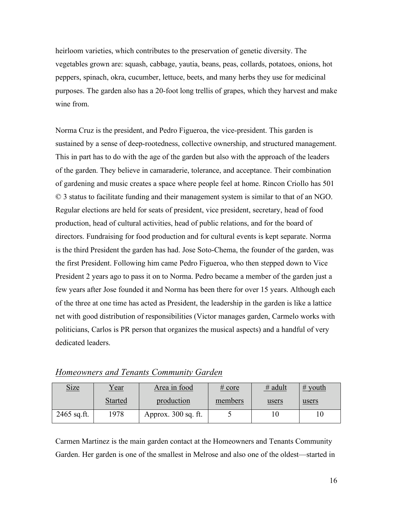heirloom varieties, which contributes to the preservation of genetic diversity. The vegetables grown are: squash, cabbage, yautia, beans, peas, collards, potatoes, onions, hot peppers, spinach, okra, cucumber, lettuce, beets, and many herbs they use for medicinal purposes. The garden also has a 20-foot long trellis of grapes, which they harvest and make wine from.

Norma Cruz is the president, and Pedro Figueroa, the vice-president. This garden is sustained by a sense of deep-rootedness, collective ownership, and structured management. This in part has to do with the age of the garden but also with the approach of the leaders of the garden. They believe in camaraderie, tolerance, and acceptance. Their combination of gardening and music creates a space where people feel at home. Rincon Criollo has 501 © 3 status to facilitate funding and their management system is similar to that of an NGO. Regular elections are held for seats of president, vice president, secretary, head of food production, head of cultural activities, head of public relations, and for the board of directors. Fundraising for food production and for cultural events is kept separate. Norma is the third President the garden has had. Jose Soto-Chema, the founder of the garden, was the first President. Following him came Pedro Figueroa, who then stepped down to Vice President 2 years ago to pass it on to Norma. Pedro became a member of the garden just a few years after Jose founded it and Norma has been there for over 15 years. Although each of the three at one time has acted as President, the leadership in the garden is like a lattice net with good distribution of responsibilities (Victor manages garden, Carmelo works with politicians, Carlos is PR person that organizes the musical aspects) and a handful of very dedicated leaders.

| <b>Size</b>   | <u>Year</u>    | Area in food        | # core  | $#$ adult | $#$ youth |
|---------------|----------------|---------------------|---------|-----------|-----------|
|               | <b>Started</b> | production          | members | users     | users     |
| $2465$ sq.ft. | 1978           | Approx. 300 sq. ft. |         |           |           |

*Homeowners and Tenants Community Garden*

Carmen Martinez is the main garden contact at the Homeowners and Tenants Community Garden. Her garden is one of the smallest in Melrose and also one of the oldest—started in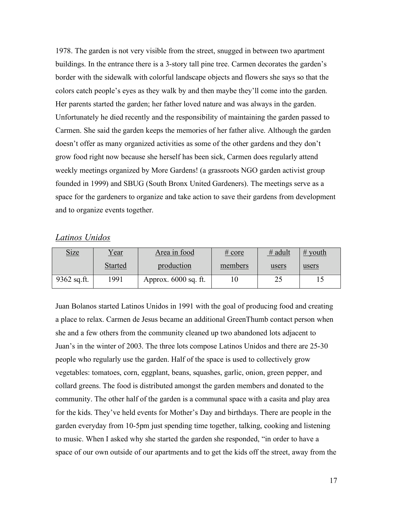1978. The garden is not very visible from the street, snugged in between two apartment buildings. In the entrance there is a 3-story tall pine tree. Carmen decorates the garden's border with the sidewalk with colorful landscape objects and flowers she says so that the colors catch people's eyes as they walk by and then maybe they'll come into the garden. Her parents started the garden; her father loved nature and was always in the garden. Unfortunately he died recently and the responsibility of maintaining the garden passed to Carmen. She said the garden keeps the memories of her father alive. Although the garden doesn't offer as many organized activities as some of the other gardens and they don't grow food right now because she herself has been sick, Carmen does regularly attend weekly meetings organized by More Gardens! (a grassroots NGO garden activist group founded in 1999) and SBUG (South Bronx United Gardeners). The meetings serve as a space for the gardeners to organize and take action to save their gardens from development and to organize events together.

### *Latinos Unidos*

| <b>Size</b>   | Year           | Area in food         | # core  | $#$ adult | $#$ youth |
|---------------|----------------|----------------------|---------|-----------|-----------|
|               | <b>Started</b> | production           | members | users     | users     |
| $9362$ sq.ft. | 1991           | Approx. 6000 sq. ft. |         | ∠~        |           |

Juan Bolanos started Latinos Unidos in 1991 with the goal of producing food and creating a place to relax. Carmen de Jesus became an additional GreenThumb contact person when she and a few others from the community cleaned up two abandoned lots adjacent to Juan's in the winter of 2003. The three lots compose Latinos Unidos and there are 25-30 people who regularly use the garden. Half of the space is used to collectively grow vegetables: tomatoes, corn, eggplant, beans, squashes, garlic, onion, green pepper, and collard greens. The food is distributed amongst the garden members and donated to the community. The other half of the garden is a communal space with a casita and play area for the kids. They've held events for Mother's Day and birthdays. There are people in the garden everyday from 10-5pm just spending time together, talking, cooking and listening to music. When I asked why she started the garden she responded, "in order to have a space of our own outside of our apartments and to get the kids off the street, away from the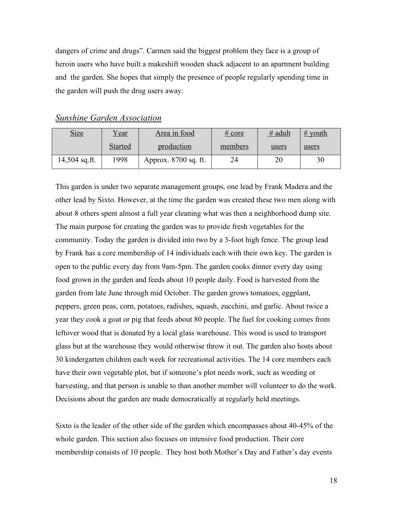dangers of crime and drugs". Carmen said the biggest problem they face is a group of heroin users who have built a makeshift wooden shack adjacent to an apartment building and the garden. She hopes that simply the presence of people regularly spending time in the garden will push the drug users away.

| <u>Size</u>     | Year    | Area in food         | # core  | $#$ adult | $#$ youth |
|-----------------|---------|----------------------|---------|-----------|-----------|
|                 | Started | production           | members | users     | users     |
| $14,504$ sq.ft. | 1998    | Approx. 8700 sq. ft. |         | 20        | 30        |

*Sunshine Garden Association*

This garden is under two separate management groups, one lead by Frank Madera and the other lead by Sixto. However, at the time the garden was created these two men along with about 8 others spent almost a full year cleaning what was then a neighborhood dump site. The main purpose for creating the garden was to provide fresh vegetables for the community. Today the garden is divided into two by a 3-foot high fence. The group lead by Frank has a core membership of 14 individuals each with their own key. The garden is open to the public every day from 9am-5pm. The garden cooks dinner every day using food grown in the garden and feeds about 10 people daily. Food is harvested from the garden from late June through mid October. The garden grows tomatoes, eggplant, peppers, green peas, corn, potatoes, radishes, squash, zucchini, and garlic. About twice a year they cook a goat or pig that feeds about 80 people. The fuel for cooking comes from leftover wood that is donated by a local glass warehouse. This wood is used to transport glass but at the warehouse they would otherwise throw it out. The garden also hosts about 30 kindergarten children each week for recreational activities. The 14 core members each have their own vegetable plot, but if someone's plot needs work, such as weeding or harvesting, and that person is unable to than another member will volunteer to do the work. Decisions about the garden are made democratically at regularly held meetings.

Sixto is the leader of the other side of the garden which encompasses about 40-45% of the whole garden. This section also focuses on intensive food production. Their core membership consists of 10 people. They host both Mother's Day and Father's day events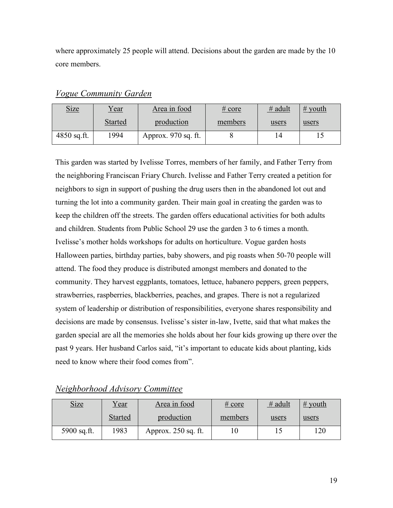where approximately 25 people will attend. Decisions about the garden are made by the 10 core members.

| <u>Size</u>   | <u>Year</u>    | Area in food        | $\frac{\text{\# core}}{\text{}}$ | $#$ adult | $#$ youth |
|---------------|----------------|---------------------|----------------------------------|-----------|-----------|
|               | <b>Started</b> | production          | members                          | users     | users     |
| $4850$ sq.ft. | 1994           | Approx. 970 sq. ft. |                                  | 14        |           |

*Vogue Community Garden*

This garden was started by Ivelisse Torres, members of her family, and Father Terry from the neighboring Franciscan Friary Church. Ivelisse and Father Terry created a petition for neighbors to sign in support of pushing the drug users then in the abandoned lot out and turning the lot into a community garden. Their main goal in creating the garden was to keep the children off the streets. The garden offers educational activities for both adults and children. Students from Public School 29 use the garden 3 to 6 times a month. Ivelisse's mother holds workshops for adults on horticulture. Vogue garden hosts Halloween parties, birthday parties, baby showers, and pig roasts when 50-70 people will attend. The food they produce is distributed amongst members and donated to the community. They harvest eggplants, tomatoes, lettuce, habanero peppers, green peppers, strawberries, raspberries, blackberries, peaches, and grapes. There is not a regularized system of leadership or distribution of responsibilities, everyone shares responsibility and decisions are made by consensus. Ivelisse's sister in-law, Ivette, said that what makes the garden special are all the memories she holds about her four kids growing up there over the past 9 years. Her husband Carlos said, "it's important to educate kids about planting, kids need to know where their food comes from".

## *Neighborhood Advisory Committee*

| <b>Size</b> | Year           | Area in food        | $\frac{\text{\# core}}{\text{}}$ | $#$ adult | $\frac{\# \text{ youth}}{\#}$ |
|-------------|----------------|---------------------|----------------------------------|-----------|-------------------------------|
|             | <b>Started</b> | production          | members                          | users     | users                         |
| 5900 sq.ft. | 1983           | Approx. 250 sq. ft. |                                  |           | 120                           |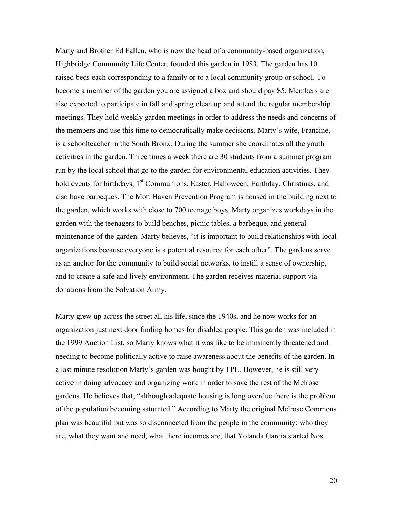Marty and Brother Ed Fallen, who is now the head of a community-based organization, Highbridge Community Life Center, founded this garden in 1983. The garden has 10 raised beds each corresponding to a family or to a local community group or school. To become a member of the garden you are assigned a box and should pay \$5. Members are also expected to participate in fall and spring clean up and attend the regular membership meetings. They hold weekly garden meetings in order to address the needs and concerns of the members and use this time to democratically make decisions. Marty's wife, Francine, is a schoolteacher in the South Bronx. During the summer she coordinates all the youth activities in the garden. Three times a week there are 30 students from a summer program run by the local school that go to the garden for environmental education activities. They hold events for birthdays, 1<sup>st</sup> Communions, Easter, Halloween, Earthday, Christmas, and also have barbeques. The Mott Haven Prevention Program is housed in the building next to the garden, which works with close to 700 teenage boys. Marty organizes workdays in the garden with the teenagers to build benches, picnic tables, a barbeque, and general maintenance of the garden. Marty believes, "it is important to build relationships with local organizations because everyone is a potential resource for each other". The gardens serve as an anchor for the community to build social networks, to instill a sense of ownership, and to create a safe and lively environment. The garden receives material support via donations from the Salvation Army.

Marty grew up across the street all his life, since the 1940s, and he now works for an organization just next door finding homes for disabled people. This garden was included in the 1999 Auction List, so Marty knows what it was like to be imminently threatened and needing to become politically active to raise awareness about the benefits of the garden. In a last minute resolution Marty's garden was bought by TPL. However, he is still very active in doing advocacy and organizing work in order to save the rest of the Melrose gardens. He believes that, "although adequate housing is long overdue there is the problem of the population becoming saturated." According to Marty the original Melrose Commons plan was beautiful but was so disconnected from the people in the community: who they are, what they want and need, what there incomes are, that Yolanda Garcia started Nos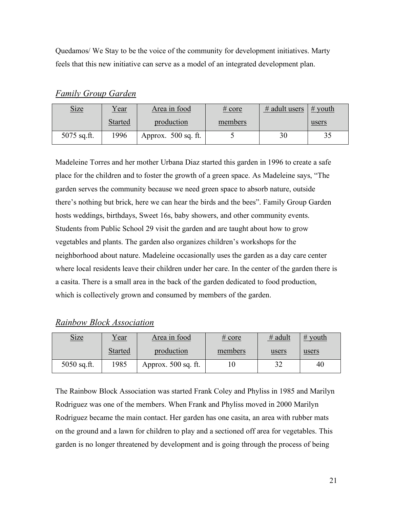Quedamos/ We Stay to be the voice of the community for development initiatives. Marty feels that this new initiative can serve as a model of an integrated development plan.

| <u>Size</u>   | <u>Year</u>    | Area in food          | $\frac{\text{\# core}}{\text{}}$ | $#$ adult users | $\#$ youth |
|---------------|----------------|-----------------------|----------------------------------|-----------------|------------|
|               | <b>Started</b> | production            | members                          |                 | users      |
| $5075$ sq.ft. | 1996           | Approx. $500$ sq. ft. |                                  | 30              |            |

*Family Group Garden*

Madeleine Torres and her mother Urbana Diaz started this garden in 1996 to create a safe place for the children and to foster the growth of a green space. As Madeleine says, "The garden serves the community because we need green space to absorb nature, outside there's nothing but brick, here we can hear the birds and the bees". Family Group Garden hosts weddings, birthdays, Sweet 16s, baby showers, and other community events. Students from Public School 29 visit the garden and are taught about how to grow vegetables and plants. The garden also organizes children's workshops for the neighborhood about nature. Madeleine occasionally uses the garden as a day care center where local residents leave their children under her care. In the center of the garden there is a casita. There is a small area in the back of the garden dedicated to food production, which is collectively grown and consumed by members of the garden.

# *Rainbow Block Association*

| <b>Size</b>   | <u>Year</u> | Area in food        | # core  | $#$ adult | $#$ youth |
|---------------|-------------|---------------------|---------|-----------|-----------|
|               | Started     | production          | members | users     | users     |
| $5050$ sq.ft. | 1985        | Approx. 500 sq. ft. |         | 20        | 40        |

The Rainbow Block Association was started Frank Coley and Phyliss in 1985 and Marilyn Rodriguez was one of the members. When Frank and Phyliss moved in 2000 Marilyn Rodriguez became the main contact. Her garden has one casita, an area with rubber mats on the ground and a lawn for children to play and a sectioned off area for vegetables. This garden is no longer threatened by development and is going through the process of being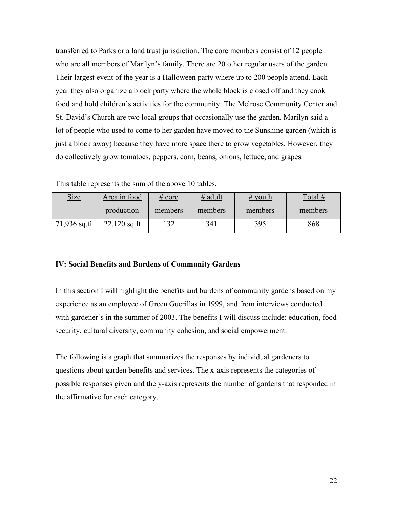transferred to Parks or a land trust jurisdiction. The core members consist of 12 people who are all members of Marilyn's family. There are 20 other regular users of the garden. Their largest event of the year is a Halloween party where up to 200 people attend. Each year they also organize a block party where the whole block is closed off and they cook food and hold children's activities for the community. The Melrose Community Center and St. David's Church are two local groups that occasionally use the garden. Marilyn said a lot of people who used to come to her garden have moved to the Sunshine garden (which is just a block away) because they have more space there to grow vegetables. However, they do collectively grow tomatoes, peppers, corn, beans, onions, lettuce, and grapes.

This table represents the sum of the above 10 tables.

| <b>Size</b>    | Area in food   | # core  | $#$ adult | $\#$ youth | Total # |
|----------------|----------------|---------|-----------|------------|---------|
|                | production     | members | members   | members    | members |
| $71,936$ sq.ft | $22,120$ sq.ft | 132     | 341       | 395        | 868     |

### **IV: Social Benefits and Burdens of Community Gardens**

In this section I will highlight the benefits and burdens of community gardens based on my experience as an employee of Green Guerillas in 1999, and from interviews conducted with gardener's in the summer of 2003. The benefits I will discuss include: education, food security, cultural diversity, community cohesion, and social empowerment.

The following is a graph that summarizes the responses by individual gardeners to questions about garden benefits and services. The x-axis represents the categories of possible responses given and the y-axis represents the number of gardens that responded in the affirmative for each category.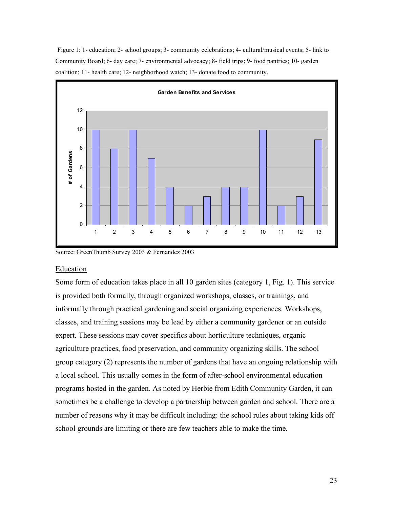Figure 1: 1- education; 2- school groups; 3- community celebrations; 4- cultural/musical events; 5- link to Community Board; 6- day care; 7- environmental advocacy; 8- field trips; 9- food pantries; 10- garden coalition; 11- health care; 12- neighborhood watch; 13- donate food to community.



Source: GreenThumb Survey 2003 & Fernandez 2003

#### Education

Some form of education takes place in all 10 garden sites (category 1, Fig. 1). This service is provided both formally, through organized workshops, classes, or trainings, and informally through practical gardening and social organizing experiences. Workshops, classes, and training sessions may be lead by either a community gardener or an outside expert. These sessions may cover specifics about horticulture techniques, organic agriculture practices, food preservation, and community organizing skills. The school group category (2) represents the number of gardens that have an ongoing relationship with a local school. This usually comes in the form of after-school environmental education programs hosted in the garden. As noted by Herbie from Edith Community Garden, it can sometimes be a challenge to develop a partnership between garden and school. There are a number of reasons why it may be difficult including: the school rules about taking kids off school grounds are limiting or there are few teachers able to make the time.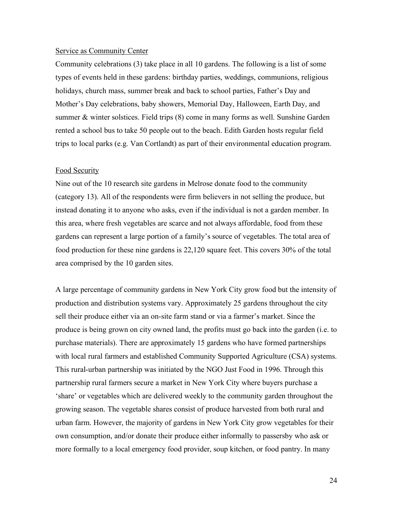#### Service as Community Center

Community celebrations (3) take place in all 10 gardens. The following is a list of some types of events held in these gardens: birthday parties, weddings, communions, religious holidays, church mass, summer break and back to school parties, Father's Day and Mother's Day celebrations, baby showers, Memorial Day, Halloween, Earth Day, and summer & winter solstices. Field trips (8) come in many forms as well. Sunshine Garden rented a school bus to take 50 people out to the beach. Edith Garden hosts regular field trips to local parks (e.g. Van Cortlandt) as part of their environmental education program.

#### Food Security

Nine out of the 10 research site gardens in Melrose donate food to the community (category 13). All of the respondents were firm believers in not selling the produce, but instead donating it to anyone who asks, even if the individual is not a garden member. In this area, where fresh vegetables are scarce and not always affordable, food from these gardens can represent a large portion of a family's source of vegetables. The total area of food production for these nine gardens is 22,120 square feet. This covers 30% of the total area comprised by the 10 garden sites.

A large percentage of community gardens in New York City grow food but the intensity of production and distribution systems vary. Approximately 25 gardens throughout the city sell their produce either via an on-site farm stand or via a farmer's market. Since the produce is being grown on city owned land, the profits must go back into the garden (i.e. to purchase materials). There are approximately 15 gardens who have formed partnerships with local rural farmers and established Community Supported Agriculture (CSA) systems. This rural-urban partnership was initiated by the NGO Just Food in 1996. Through this partnership rural farmers secure a market in New York City where buyers purchase a 'share' or vegetables which are delivered weekly to the community garden throughout the growing season. The vegetable shares consist of produce harvested from both rural and urban farm. However, the majority of gardens in New York City grow vegetables for their own consumption, and/or donate their produce either informally to passersby who ask or more formally to a local emergency food provider, soup kitchen, or food pantry. In many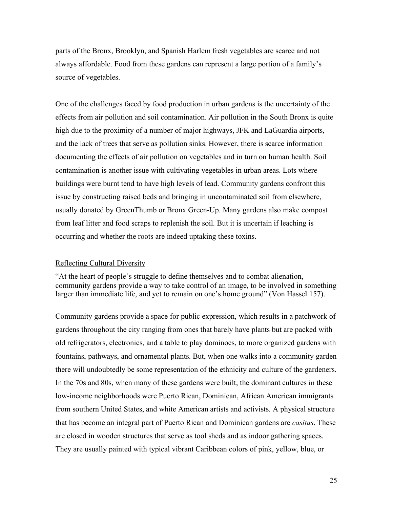parts of the Bronx, Brooklyn, and Spanish Harlem fresh vegetables are scarce and not always affordable. Food from these gardens can represent a large portion of a family's source of vegetables.

One of the challenges faced by food production in urban gardens is the uncertainty of the effects from air pollution and soil contamination. Air pollution in the South Bronx is quite high due to the proximity of a number of major highways, JFK and LaGuardia airports, and the lack of trees that serve as pollution sinks. However, there is scarce information documenting the effects of air pollution on vegetables and in turn on human health. Soil contamination is another issue with cultivating vegetables in urban areas. Lots where buildings were burnt tend to have high levels of lead. Community gardens confront this issue by constructing raised beds and bringing in uncontaminated soil from elsewhere, usually donated by GreenThumb or Bronx Green-Up. Many gardens also make compost from leaf litter and food scraps to replenish the soil. But it is uncertain if leaching is occurring and whether the roots are indeed uptaking these toxins.

#### Reflecting Cultural Diversity

"At the heart of people's struggle to define themselves and to combat alienation, community gardens provide a way to take control of an image, to be involved in something larger than immediate life, and yet to remain on one's home ground" (Von Hassel 157).

Community gardens provide a space for public expression, which results in a patchwork of gardens throughout the city ranging from ones that barely have plants but are packed with old refrigerators, electronics, and a table to play dominoes, to more organized gardens with fountains, pathways, and ornamental plants. But, when one walks into a community garden there will undoubtedly be some representation of the ethnicity and culture of the gardeners. In the 70s and 80s, when many of these gardens were built, the dominant cultures in these low-income neighborhoods were Puerto Rican, Dominican, African American immigrants from southern United States, and white American artists and activists. A physical structure that has become an integral part of Puerto Rican and Dominican gardens are *casitas*. These are closed in wooden structures that serve as tool sheds and as indoor gathering spaces. They are usually painted with typical vibrant Caribbean colors of pink, yellow, blue, or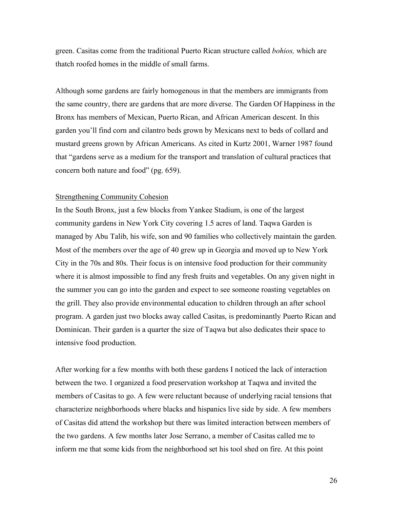green. Casitas come from the traditional Puerto Rican structure called *bohios,* which are thatch roofed homes in the middle of small farms.

Although some gardens are fairly homogenous in that the members are immigrants from the same country, there are gardens that are more diverse. The Garden Of Happiness in the Bronx has members of Mexican, Puerto Rican, and African American descent. In this garden you'll find corn and cilantro beds grown by Mexicans next to beds of collard and mustard greens grown by African Americans. As cited in Kurtz 2001, Warner 1987 found that "gardens serve as a medium for the transport and translation of cultural practices that concern both nature and food" (pg. 659).

#### Strengthening Community Cohesion

In the South Bronx, just a few blocks from Yankee Stadium, is one of the largest community gardens in New York City covering 1.5 acres of land. Taqwa Garden is managed by Abu Talib, his wife, son and 90 families who collectively maintain the garden. Most of the members over the age of 40 grew up in Georgia and moved up to New York City in the 70s and 80s. Their focus is on intensive food production for their community where it is almost impossible to find any fresh fruits and vegetables. On any given night in the summer you can go into the garden and expect to see someone roasting vegetables on the grill. They also provide environmental education to children through an after school program. A garden just two blocks away called Casitas, is predominantly Puerto Rican and Dominican. Their garden is a quarter the size of Taqwa but also dedicates their space to intensive food production.

After working for a few months with both these gardens I noticed the lack of interaction between the two. I organized a food preservation workshop at Taqwa and invited the members of Casitas to go. A few were reluctant because of underlying racial tensions that characterize neighborhoods where blacks and hispanics live side by side. A few members of Casitas did attend the workshop but there was limited interaction between members of the two gardens. A few months later Jose Serrano, a member of Casitas called me to inform me that some kids from the neighborhood set his tool shed on fire. At this point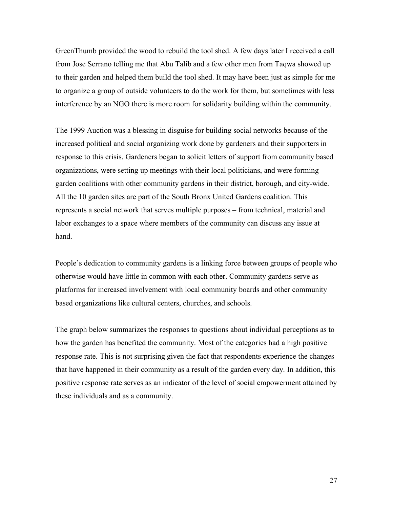GreenThumb provided the wood to rebuild the tool shed. A few days later I received a call from Jose Serrano telling me that Abu Talib and a few other men from Taqwa showed up to their garden and helped them build the tool shed. It may have been just as simple for me to organize a group of outside volunteers to do the work for them, but sometimes with less interference by an NGO there is more room for solidarity building within the community.

The 1999 Auction was a blessing in disguise for building social networks because of the increased political and social organizing work done by gardeners and their supporters in response to this crisis. Gardeners began to solicit letters of support from community based organizations, were setting up meetings with their local politicians, and were forming garden coalitions with other community gardens in their district, borough, and city-wide. All the 10 garden sites are part of the South Bronx United Gardens coalition. This represents a social network that serves multiple purposes – from technical, material and labor exchanges to a space where members of the community can discuss any issue at hand.

People's dedication to community gardens is a linking force between groups of people who otherwise would have little in common with each other. Community gardens serve as platforms for increased involvement with local community boards and other community based organizations like cultural centers, churches, and schools.

The graph below summarizes the responses to questions about individual perceptions as to how the garden has benefited the community. Most of the categories had a high positive response rate. This is not surprising given the fact that respondents experience the changes that have happened in their community as a result of the garden every day. In addition, this positive response rate serves as an indicator of the level of social empowerment attained by these individuals and as a community.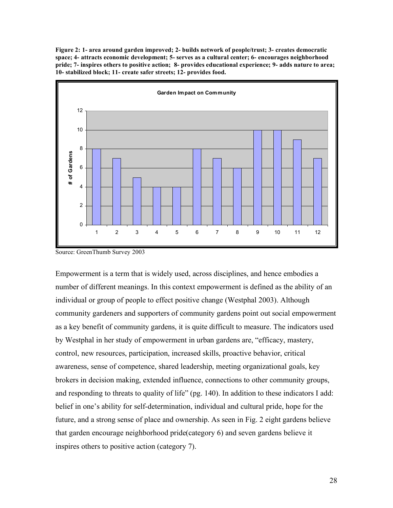**Figure 2: 1- area around garden improved; 2- builds network of people/trust; 3- creates democratic space; 4- attracts economic development; 5- serves as a cultural center; 6- encourages neighborhood pride; 7- inspires others to positive action; 8- provides educational experience; 9- adds nature to area; 10- stabilized block; 11- create safer streets; 12- provides food.**



Source: GreenThumb Survey 2003

Empowerment is a term that is widely used, across disciplines, and hence embodies a number of different meanings. In this context empowerment is defined as the ability of an individual or group of people to effect positive change (Westphal 2003). Although community gardeners and supporters of community gardens point out social empowerment as a key benefit of community gardens, it is quite difficult to measure. The indicators used by Westphal in her study of empowerment in urban gardens are, "efficacy, mastery, control, new resources, participation, increased skills, proactive behavior, critical awareness, sense of competence, shared leadership, meeting organizational goals, key brokers in decision making, extended influence, connections to other community groups, and responding to threats to quality of life" (pg. 140). In addition to these indicators I add: belief in one's ability for self-determination, individual and cultural pride, hope for the future, and a strong sense of place and ownership. As seen in Fig. 2 eight gardens believe that garden encourage neighborhood pride(category 6) and seven gardens believe it inspires others to positive action (category 7).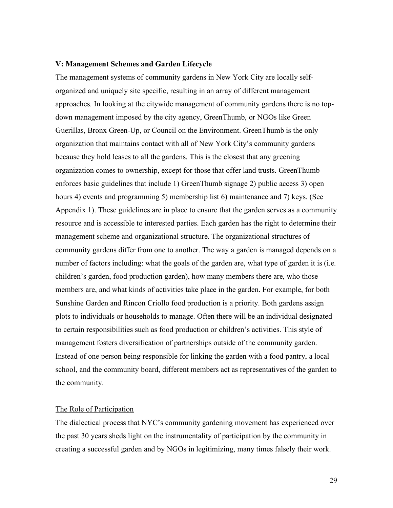#### **V: Management Schemes and Garden Lifecycle**

The management systems of community gardens in New York City are locally selforganized and uniquely site specific, resulting in an array of different management approaches. In looking at the citywide management of community gardens there is no topdown management imposed by the city agency, GreenThumb, or NGOs like Green Guerillas, Bronx Green-Up, or Council on the Environment. GreenThumb is the only organization that maintains contact with all of New York City's community gardens because they hold leases to all the gardens. This is the closest that any greening organization comes to ownership, except for those that offer land trusts. GreenThumb enforces basic guidelines that include 1) GreenThumb signage 2) public access 3) open hours 4) events and programming 5) membership list 6) maintenance and 7) keys. (See Appendix 1). These guidelines are in place to ensure that the garden serves as a community resource and is accessible to interested parties. Each garden has the right to determine their management scheme and organizational structure. The organizational structures of community gardens differ from one to another. The way a garden is managed depends on a number of factors including: what the goals of the garden are, what type of garden it is (i.e. children's garden, food production garden), how many members there are, who those members are, and what kinds of activities take place in the garden. For example, for both Sunshine Garden and Rincon Criollo food production is a priority. Both gardens assign plots to individuals or households to manage. Often there will be an individual designated to certain responsibilities such as food production or children's activities. This style of management fosters diversification of partnerships outside of the community garden. Instead of one person being responsible for linking the garden with a food pantry, a local school, and the community board, different members act as representatives of the garden to the community.

#### The Role of Participation

The dialectical process that NYC's community gardening movement has experienced over the past 30 years sheds light on the instrumentality of participation by the community in creating a successful garden and by NGOs in legitimizing, many times falsely their work.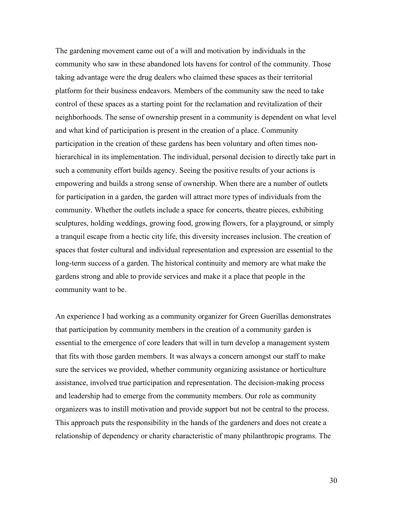The gardening movement came out of a will and motivation by individuals in the community who saw in these abandoned lots havens for control of the community. Those taking advantage were the drug dealers who claimed these spaces as their territorial platform for their business endeavors. Members of the community saw the need to take control of these spaces as a starting point for the reclamation and revitalization of their neighborhoods. The sense of ownership present in a community is dependent on what level and what kind of participation is present in the creation of a place. Community participation in the creation of these gardens has been voluntary and often times nonhierarchical in its implementation. The individual, personal decision to directly take part in such a community effort builds agency. Seeing the positive results of your actions is empowering and builds a strong sense of ownership. When there are a number of outlets for participation in a garden, the garden will attract more types of individuals from the community. Whether the outlets include a space for concerts, theatre pieces, exhibiting sculptures, holding weddings, growing food, growing flowers, for a playground, or simply a tranquil escape from a hectic city life, this diversity increases inclusion. The creation of spaces that foster cultural and individual representation and expression are essential to the long-term success of a garden. The historical continuity and memory are what make the gardens strong and able to provide services and make it a place that people in the community want to be.

An experience I had working as a community organizer for Green Guerillas demonstrates that participation by community members in the creation of a community garden is essential to the emergence of core leaders that will in turn develop a management system that fits with those garden members. It was always a concern amongst our staff to make sure the services we provided, whether community organizing assistance or horticulture assistance, involved true participation and representation. The decision-making process and leadership had to emerge from the community members. Our role as community organizers was to instill motivation and provide support but not be central to the process. This approach puts the responsibility in the hands of the gardeners and does not create a relationship of dependency or charity characteristic of many philanthropic programs. The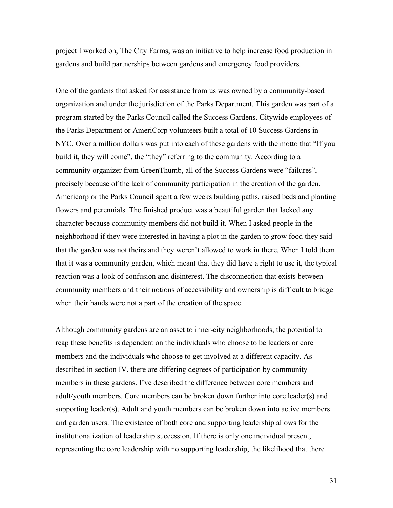project I worked on, The City Farms, was an initiative to help increase food production in gardens and build partnerships between gardens and emergency food providers.

One of the gardens that asked for assistance from us was owned by a community-based organization and under the jurisdiction of the Parks Department. This garden was part of a program started by the Parks Council called the Success Gardens. Citywide employees of the Parks Department or AmeriCorp volunteers built a total of 10 Success Gardens in NYC. Over a million dollars was put into each of these gardens with the motto that "If you build it, they will come", the "they" referring to the community. According to a community organizer from GreenThumb, all of the Success Gardens were "failures", precisely because of the lack of community participation in the creation of the garden. Americorp or the Parks Council spent a few weeks building paths, raised beds and planting flowers and perennials. The finished product was a beautiful garden that lacked any character because community members did not build it. When I asked people in the neighborhood if they were interested in having a plot in the garden to grow food they said that the garden was not theirs and they weren't allowed to work in there. When I told them that it was a community garden, which meant that they did have a right to use it, the typical reaction was a look of confusion and disinterest. The disconnection that exists between community members and their notions of accessibility and ownership is difficult to bridge when their hands were not a part of the creation of the space.

Although community gardens are an asset to inner-city neighborhoods, the potential to reap these benefits is dependent on the individuals who choose to be leaders or core members and the individuals who choose to get involved at a different capacity. As described in section IV, there are differing degrees of participation by community members in these gardens. I've described the difference between core members and adult/youth members. Core members can be broken down further into core leader(s) and supporting leader(s). Adult and youth members can be broken down into active members and garden users. The existence of both core and supporting leadership allows for the institutionalization of leadership succession. If there is only one individual present, representing the core leadership with no supporting leadership, the likelihood that there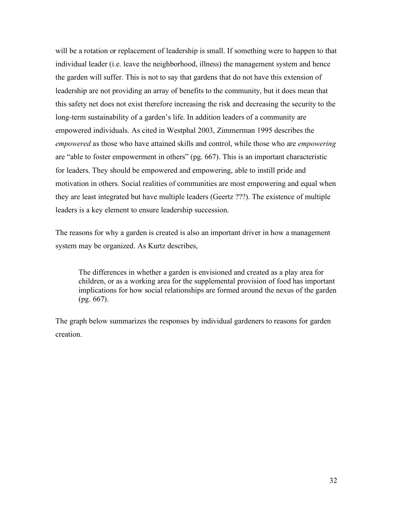will be a rotation or replacement of leadership is small. If something were to happen to that individual leader (i.e. leave the neighborhood, illness) the management system and hence the garden will suffer. This is not to say that gardens that do not have this extension of leadership are not providing an array of benefits to the community, but it does mean that this safety net does not exist therefore increasing the risk and decreasing the security to the long-term sustainability of a garden's life. In addition leaders of a community are empowered individuals. As cited in Westphal 2003, Zimmerman 1995 describes the *empowered* as those who have attained skills and control, while those who are *empowering* are "able to foster empowerment in others" (pg. 667). This is an important characteristic for leaders. They should be empowered and empowering, able to instill pride and motivation in others. Social realities of communities are most empowering and equal when they are least integrated but have multiple leaders (Geertz ???). The existence of multiple leaders is a key element to ensure leadership succession.

The reasons for why a garden is created is also an important driver in how a management system may be organized. As Kurtz describes,

The differences in whether a garden is envisioned and created as a play area for children, or as a working area for the supplemental provision of food has important implications for how social relationships are formed around the nexus of the garden (pg. 667).

The graph below summarizes the responses by individual gardeners to reasons for garden creation.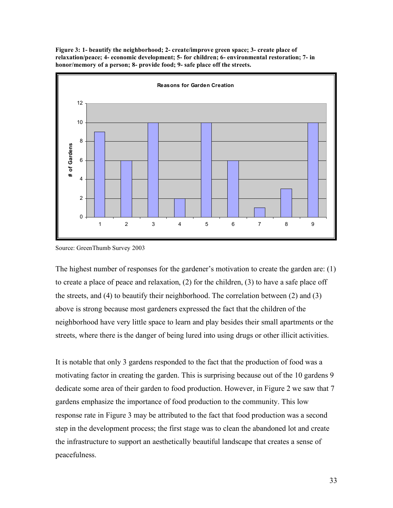**Figure 3: 1- beautify the neighborhood; 2- create/improve green space; 3- create place of relaxation/peace; 4- economic development; 5- for children; 6- environmental restoration; 7- in honor/memory of a person; 8- provide food; 9- safe place off the streets.**



Source: GreenThumb Survey 2003

The highest number of responses for the gardener's motivation to create the garden are: (1) to create a place of peace and relaxation, (2) for the children, (3) to have a safe place off the streets, and (4) to beautify their neighborhood. The correlation between (2) and (3) above is strong because most gardeners expressed the fact that the children of the neighborhood have very little space to learn and play besides their small apartments or the streets, where there is the danger of being lured into using drugs or other illicit activities.

It is notable that only 3 gardens responded to the fact that the production of food was a motivating factor in creating the garden. This is surprising because out of the 10 gardens 9 dedicate some area of their garden to food production. However, in Figure 2 we saw that 7 gardens emphasize the importance of food production to the community. This low response rate in Figure 3 may be attributed to the fact that food production was a second step in the development process; the first stage was to clean the abandoned lot and create the infrastructure to support an aesthetically beautiful landscape that creates a sense of peacefulness.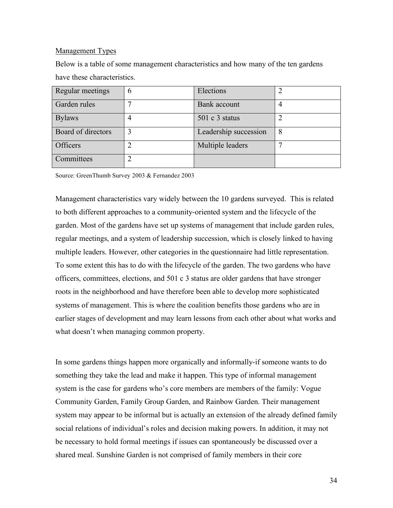### Management Types

Below is a table of some management characteristics and how many of the ten gardens have these characteristics.

| Regular meetings   | h | Elections             |   |
|--------------------|---|-----------------------|---|
| Garden rules       |   | <b>Bank</b> account   |   |
| <b>Bylaws</b>      |   | $501 c 3$ status      |   |
| Board of directors |   | Leadership succession | 8 |
| Officers           |   | Multiple leaders      |   |
| Committees         |   |                       |   |

Source: GreenThumb Survey 2003 & Fernandez 2003

Management characteristics vary widely between the 10 gardens surveyed. This is related to both different approaches to a community-oriented system and the lifecycle of the garden. Most of the gardens have set up systems of management that include garden rules, regular meetings, and a system of leadership succession, which is closely linked to having multiple leaders. However, other categories in the questionnaire had little representation. To some extent this has to do with the lifecycle of the garden. The two gardens who have officers, committees, elections, and 501 c 3 status are older gardens that have stronger roots in the neighborhood and have therefore been able to develop more sophisticated systems of management. This is where the coalition benefits those gardens who are in earlier stages of development and may learn lessons from each other about what works and what doesn't when managing common property.

In some gardens things happen more organically and informally-if someone wants to do something they take the lead and make it happen. This type of informal management system is the case for gardens who's core members are members of the family: Vogue Community Garden, Family Group Garden, and Rainbow Garden. Their management system may appear to be informal but is actually an extension of the already defined family social relations of individual's roles and decision making powers. In addition, it may not be necessary to hold formal meetings if issues can spontaneously be discussed over a shared meal. Sunshine Garden is not comprised of family members in their core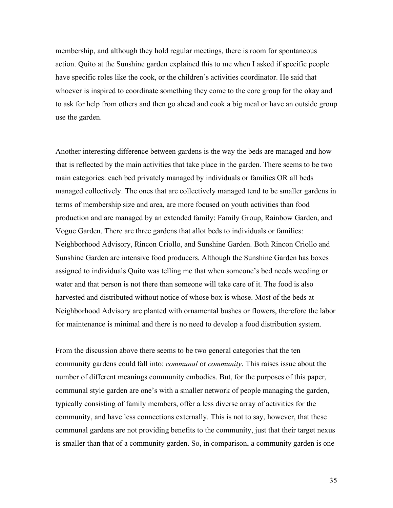membership, and although they hold regular meetings, there is room for spontaneous action. Quito at the Sunshine garden explained this to me when I asked if specific people have specific roles like the cook, or the children's activities coordinator. He said that whoever is inspired to coordinate something they come to the core group for the okay and to ask for help from others and then go ahead and cook a big meal or have an outside group use the garden.

Another interesting difference between gardens is the way the beds are managed and how that is reflected by the main activities that take place in the garden. There seems to be two main categories: each bed privately managed by individuals or families OR all beds managed collectively. The ones that are collectively managed tend to be smaller gardens in terms of membership size and area, are more focused on youth activities than food production and are managed by an extended family: Family Group, Rainbow Garden, and Vogue Garden. There are three gardens that allot beds to individuals or families: Neighborhood Advisory, Rincon Criollo, and Sunshine Garden. Both Rincon Criollo and Sunshine Garden are intensive food producers. Although the Sunshine Garden has boxes assigned to individuals Quito was telling me that when someone's bed needs weeding or water and that person is not there than someone will take care of it. The food is also harvested and distributed without notice of whose box is whose. Most of the beds at Neighborhood Advisory are planted with ornamental bushes or flowers, therefore the labor for maintenance is minimal and there is no need to develop a food distribution system.

From the discussion above there seems to be two general categories that the ten community gardens could fall into: *communal* or *community*. This raises issue about the number of different meanings community embodies. But, for the purposes of this paper, communal style garden are one's with a smaller network of people managing the garden, typically consisting of family members, offer a less diverse array of activities for the community, and have less connections externally. This is not to say, however, that these communal gardens are not providing benefits to the community, just that their target nexus is smaller than that of a community garden. So, in comparison, a community garden is one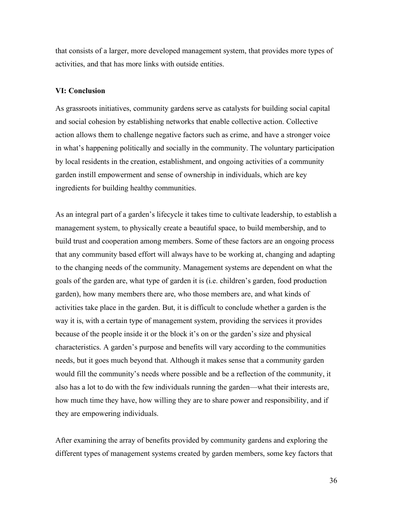that consists of a larger, more developed management system, that provides more types of activities, and that has more links with outside entities.

#### **VI: Conclusion**

As grassroots initiatives, community gardens serve as catalysts for building social capital and social cohesion by establishing networks that enable collective action. Collective action allows them to challenge negative factors such as crime, and have a stronger voice in what's happening politically and socially in the community. The voluntary participation by local residents in the creation, establishment, and ongoing activities of a community garden instill empowerment and sense of ownership in individuals, which are key ingredients for building healthy communities.

As an integral part of a garden's lifecycle it takes time to cultivate leadership, to establish a management system, to physically create a beautiful space, to build membership, and to build trust and cooperation among members. Some of these factors are an ongoing process that any community based effort will always have to be working at, changing and adapting to the changing needs of the community. Management systems are dependent on what the goals of the garden are, what type of garden it is (i.e. children's garden, food production garden), how many members there are, who those members are, and what kinds of activities take place in the garden. But, it is difficult to conclude whether a garden is the way it is, with a certain type of management system, providing the services it provides because of the people inside it or the block it's on or the garden's size and physical characteristics. A garden's purpose and benefits will vary according to the communities needs, but it goes much beyond that. Although it makes sense that a community garden would fill the community's needs where possible and be a reflection of the community, it also has a lot to do with the few individuals running the garden—what their interests are, how much time they have, how willing they are to share power and responsibility, and if they are empowering individuals.

After examining the array of benefits provided by community gardens and exploring the different types of management systems created by garden members, some key factors that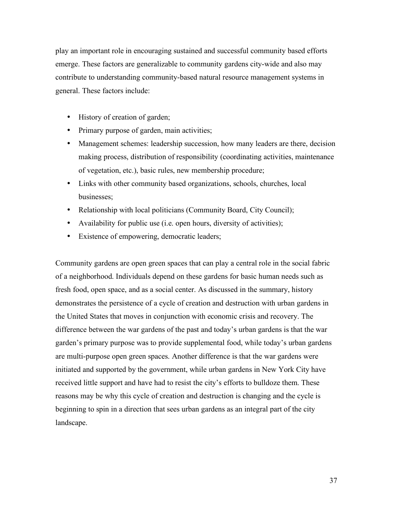play an important role in encouraging sustained and successful community based efforts emerge. These factors are generalizable to community gardens city-wide and also may contribute to understanding community-based natural resource management systems in general. These factors include:

- History of creation of garden;
- Primary purpose of garden, main activities;
- Management schemes: leadership succession, how many leaders are there, decision making process, distribution of responsibility (coordinating activities, maintenance of vegetation, etc.), basic rules, new membership procedure;
- Links with other community based organizations, schools, churches, local businesses;
- Relationship with local politicians (Community Board, City Council);
- Availability for public use (i.e. open hours, diversity of activities);
- Existence of empowering, democratic leaders;

Community gardens are open green spaces that can play a central role in the social fabric of a neighborhood. Individuals depend on these gardens for basic human needs such as fresh food, open space, and as a social center. As discussed in the summary, history demonstrates the persistence of a cycle of creation and destruction with urban gardens in the United States that moves in conjunction with economic crisis and recovery. The difference between the war gardens of the past and today's urban gardens is that the war garden's primary purpose was to provide supplemental food, while today's urban gardens are multi-purpose open green spaces. Another difference is that the war gardens were initiated and supported by the government, while urban gardens in New York City have received little support and have had to resist the city's efforts to bulldoze them. These reasons may be why this cycle of creation and destruction is changing and the cycle is beginning to spin in a direction that sees urban gardens as an integral part of the city landscape.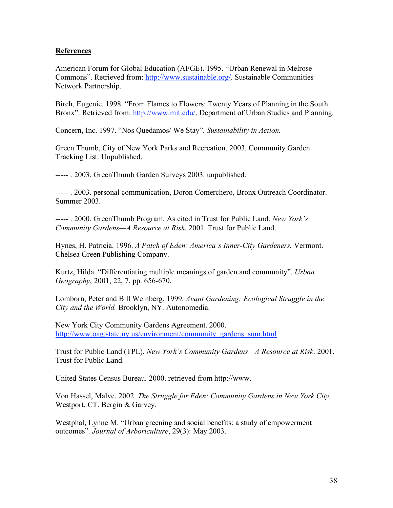### **References**

American Forum for Global Education (AFGE). 1995. "Urban Renewal in Melrose Commons". Retrieved from: http://www.sustainable.org/. Sustainable Communities Network Partnership.

Birch, Eugenie. 1998. "From Flames to Flowers: Twenty Years of Planning in the South Bronx". Retrieved from: http://www.mit.edu/. Department of Urban Studies and Planning.

Concern, Inc. 1997. "Nos Quedamos/ We Stay". *Sustainability in Action.*

Green Thumb, City of New York Parks and Recreation. 2003. Community Garden Tracking List. Unpublished.

----- . 2003. GreenThumb Garden Surveys 2003. unpublished.

----- . 2003. personal communication, Doron Comerchero, Bronx Outreach Coordinator. Summer 2003.

----- . 2000. GreenThumb Program. As cited in Trust for Public Land. *New York's Community Gardens—A Resource at Risk*. 2001. Trust for Public Land.

Hynes, H. Patricia. 1996. *A Patch of Eden: America's Inner-City Gardeners.* Vermont. Chelsea Green Publishing Company.

Kurtz, Hilda. "Differentiating multiple meanings of garden and community". *Urban Geography*, 2001, 22, 7, pp. 656-670.

Lomborn, Peter and Bill Weinberg. 1999. *Avant Gardening: Ecological Struggle in the City and the World.* Brooklyn, NY. Autonomedia.

New York City Community Gardens Agreement. 2000. http://www.oag.state.ny.us/environment/community\_gardens\_sum.html

Trust for Public Land (TPL). *New York's Community Gardens—A Resource at Risk*. 2001. Trust for Public Land.

United States Census Bureau. 2000. retrieved from http://www.

Von Hassel, Malve. 2002. *The Struggle for Eden: Community Gardens in New York City.* Westport, CT. Bergin & Garvey.

Westphal, Lynne M. "Urban greening and social benefits: a study of empowerment outcomes". *Journal of Arboriculture*, 29(3): May 2003.